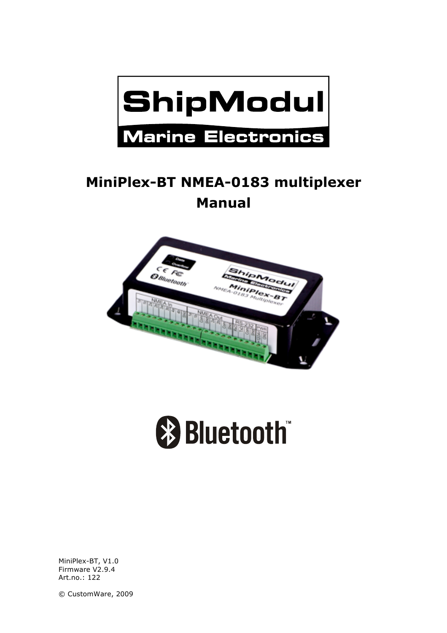

# **MiniPlex-BT NMEA-0183 multiplexer Manual**





MiniPlex-BT, V1.0 Firmware V2.9.4 Art.no.: 122

© CustomWare, 2009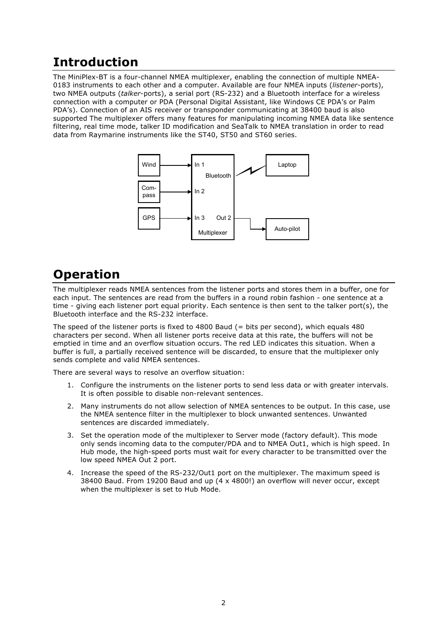## **Introduction**

The MiniPlex-BT is a four-channel NMEA multiplexer, enabling the connection of multiple NMEA-0183 instruments to each other and a computer. Available are four NMEA inputs (*listener*-ports), two NMEA outputs (*talker*-ports), a serial port (RS-232) and a Bluetooth interface for a wireless connection with a computer or PDA (Personal Digital Assistant, like Windows CE PDA's or Palm PDA's). Connection of an AIS receiver or transponder communicating at 38400 baud is also supported The multiplexer offers many features for manipulating incoming NMEA data like sentence filtering, real time mode, talker ID modification and SeaTalk to NMEA translation in order to read data from Raymarine instruments like the ST40, ST50 and ST60 series.



## **Operation**

The multiplexer reads NMEA sentences from the listener ports and stores them in a buffer, one for each input. The sentences are read from the buffers in a round robin fashion - one sentence at a time - giving each listener port equal priority. Each sentence is then sent to the talker port(s), the Bluetooth interface and the RS-232 interface.

The speed of the listener ports is fixed to 4800 Baud  $(=$  bits per second), which equals 480 characters per second. When all listener ports receive data at this rate, the buffers will not be emptied in time and an overflow situation occurs. The red LED indicates this situation. When a buffer is full, a partially received sentence will be discarded, to ensure that the multiplexer only sends complete and valid NMEA sentences.

There are several ways to resolve an overflow situation:

- 1. Configure the instruments on the listener ports to send less data or with greater intervals. It is often possible to disable non-relevant sentences.
- 2. Many instruments do not allow selection of NMEA sentences to be output. In this case, use the NMEA sentence filter in the multiplexer to block unwanted sentences. Unwanted sentences are discarded immediately.
- 3. Set the operation mode of the multiplexer to Server mode (factory default). This mode only sends incoming data to the computer/PDA and to NMEA Out1, which is high speed. In Hub mode, the high-speed ports must wait for every character to be transmitted over the low speed NMEA Out 2 port.
- 4. Increase the speed of the RS-232/Out1 port on the multiplexer. The maximum speed is 38400 Baud. From 19200 Baud and up (4 x 4800!) an overflow will never occur, except when the multiplexer is set to Hub Mode.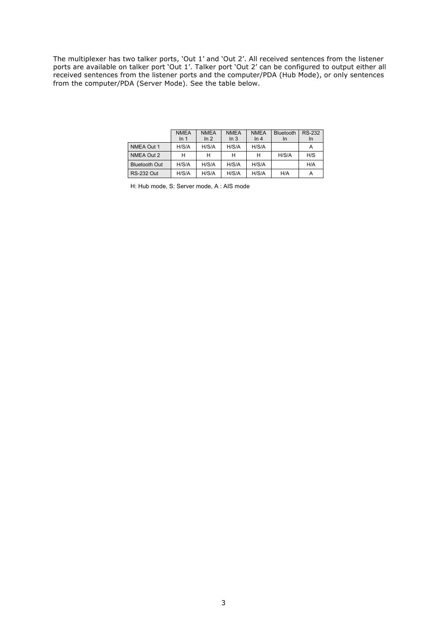The multiplexer has two talker ports, 'Out 1' and 'Out 2'. All received sentences from the listener ports are available on talker port 'Out 1'. Talker port 'Out 2' can be configured to output either all received sentences from the listener ports and the computer/PDA (Hub Mode), or only sentences from the computer/PDA (Server Mode). See the table below.

|                      | <b>NMEA</b><br>In <sub>1</sub> | <b>NMEA</b><br>ln 2 | <b>NMEA</b><br>In <sub>3</sub> | <b>NMEA</b><br>ln 4 | <b>Bluetooth</b><br>In | <b>RS-232</b><br>In |
|----------------------|--------------------------------|---------------------|--------------------------------|---------------------|------------------------|---------------------|
| NMEA Out 1           | H/S/A                          | H/S/A               | H/S/A                          | H/S/A               |                        | А                   |
| NMEA Out 2           | н                              |                     | н                              | н                   | H/S/A                  | H/S                 |
| <b>Bluetooth Out</b> | H/S/A                          | H/S/A               | H/S/A                          | H/S/A               |                        | H/A                 |
| <b>RS-232 Out</b>    | H/S/A                          | H/S/A               | H/S/A                          | H/S/A               | H/A                    | Α                   |

H: Hub mode, S: Server mode, A : AIS mode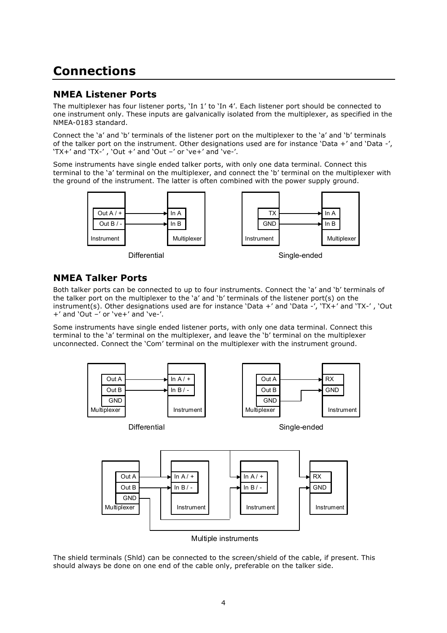## **Connections**

### **NMEA Listener Ports**

The multiplexer has four listener ports, 'In 1' to 'In 4'. Each listener port should be connected to one instrument only. These inputs are galvanically isolated from the multiplexer, as specified in the NMEA-0183 standard.

Connect the 'a' and 'b' terminals of the listener port on the multiplexer to the 'a' and 'b' terminals of the talker port on the instrument. Other designations used are for instance 'Data +' and 'Data -', 'TX+' and 'TX-' , 'Out +' and 'Out –' or 've+' and 've-'.

Some instruments have single ended talker ports, with only one data terminal. Connect this terminal to the 'a' terminal on the multiplexer, and connect the 'b' terminal on the multiplexer with the ground of the instrument. The latter is often combined with the power supply ground.



Differential Single-ended

### **NMEA Talker Ports**

Both talker ports can be connected to up to four instruments. Connect the 'a' and 'b' terminals of the talker port on the multiplexer to the 'a' and 'b' terminals of the listener port(s) on the instrument(s). Other designations used are for instance 'Data +' and 'Data -', 'TX+' and 'TX-' , 'Out +' and 'Out –' or 've+' and 've-'.

Some instruments have single ended listener ports, with only one data terminal. Connect this terminal to the 'a' terminal on the multiplexer, and leave the 'b' terminal on the multiplexer unconnected. Connect the 'Com' terminal on the multiplexer with the instrument ground.



Multiple instruments

The shield terminals (Shld) can be connected to the screen/shield of the cable, if present. This should always be done on one end of the cable only, preferable on the talker side.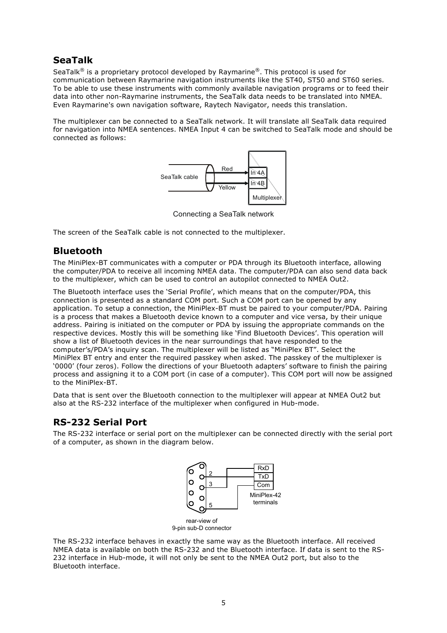## **SeaTalk**

SeaTalk<sup>®</sup> is a proprietary protocol developed by Raymarine®. This protocol is used for communication between Raymarine navigation instruments like the ST40, ST50 and ST60 series. To be able to use these instruments with commonly available navigation programs or to feed their data into other non-Raymarine instruments, the SeaTalk data needs to be translated into NMEA. Even Raymarine's own navigation software, Raytech Navigator, needs this translation.

The multiplexer can be connected to a SeaTalk network. It will translate all SeaTalk data required for navigation into NMEA sentences. NMEA Input 4 can be switched to SeaTalk mode and should be connected as follows:



Connecting a SeaTalk network

The screen of the SeaTalk cable is not connected to the multiplexer.

## **Bluetooth**

The MiniPlex-BT communicates with a computer or PDA through its Bluetooth interface, allowing the computer/PDA to receive all incoming NMEA data. The computer/PDA can also send data back to the multiplexer, which can be used to control an autopilot connected to NMEA Out2.

The Bluetooth interface uses the 'Serial Profile', which means that on the computer/PDA, this connection is presented as a standard COM port. Such a COM port can be opened by any application. To setup a connection, the MiniPlex-BT must be paired to your computer/PDA. Pairing is a process that makes a Bluetooth device known to a computer and vice versa, by their unique address. Pairing is initiated on the computer or PDA by issuing the appropriate commands on the respective devices. Mostly this will be something like 'Find Bluetooth Devices'. This operation will show a list of Bluetooth devices in the near surroundings that have responded to the computer's/PDA's inquiry scan. The multiplexer will be listed as "MiniPlex BT". Select the MiniPlex BT entry and enter the required passkey when asked. The passkey of the multiplexer is '0000' (four zeros). Follow the directions of your Bluetooth adapters' software to finish the pairing process and assigning it to a COM port (in case of a computer). This COM port will now be assigned to the MiniPlex-BT.

Data that is sent over the Bluetooth connection to the multiplexer will appear at NMEA Out2 but also at the RS-232 interface of the multiplexer when configured in Hub-mode.

## **RS-232 Serial Port**

The RS-232 interface or serial port on the multiplexer can be connected directly with the serial port of a computer, as shown in the diagram below.



rear-view of 9-pin sub-D connector

The RS-232 interface behaves in exactly the same way as the Bluetooth interface. All received NMEA data is available on both the RS-232 and the Bluetooth interface. If data is sent to the RS-232 interface in Hub-mode, it will not only be sent to the NMEA Out2 port, but also to the Bluetooth interface.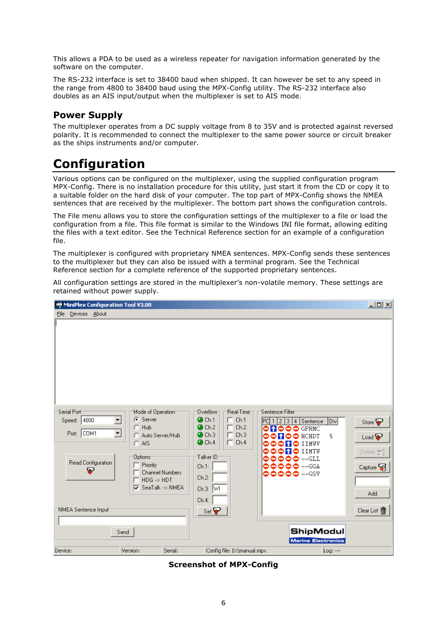This allows a PDA to be used as a wireless repeater for navigation information generated by the software on the computer.

The RS-232 interface is set to 38400 baud when shipped. It can however be set to any speed in the range from 4800 to 38400 baud using the MPX-Config utility. The RS-232 interface also doubles as an AIS input/output when the multiplexer is set to AIS mode.

## **Power Supply**

The multiplexer operates from a DC supply voltage from 8 to 35V and is protected against reversed polarity. It is recommended to connect the multiplexer to the same power source or circuit breaker as the ships instruments and/or computer.

## **Configuration**

Various options can be configured on the multiplexer, using the supplied configuration program MPX-Config. There is no installation procedure for this utility, just start it from the CD or copy it to a suitable folder on the hard disk of your computer. The top part of MPX-Config shows the NMEA sentences that are received by the multiplexer. The bottom part shows the configuration controls.

The File menu allows you to store the configuration settings of the multiplexer to a file or load the configuration from a file. This file format is similar to the Windows INI file format, allowing editing the files with a text editor. See the Technical Reference section for an example of a configuration file.

The multiplexer is configured with proprietary NMEA sentences. MPX-Config sends these sentences to the multiplexer but they can also be issued with a terminal program. See the Technical Reference section for a complete reference of the supported proprietary sentences.

| Devices About<br>File                                                                                                                                                                                                                                                                                                                                                                           |                                                                                                           |
|-------------------------------------------------------------------------------------------------------------------------------------------------------------------------------------------------------------------------------------------------------------------------------------------------------------------------------------------------------------------------------------------------|-----------------------------------------------------------------------------------------------------------|
|                                                                                                                                                                                                                                                                                                                                                                                                 |                                                                                                           |
|                                                                                                                                                                                                                                                                                                                                                                                                 |                                                                                                           |
| Serial Port<br>Real-Time<br>Sentence Filter<br>Mode of Operation <sup>-</sup><br>Overflow<br>C Server<br>$\Box$ Ch.1<br>$\bullet$ Ch.1<br>Speed: 4800<br>$\blacktriangledown$<br> PC  1   2   3   4   Sentence<br>Ch.2<br>Ch.2<br>$C$ . Hub<br>п.<br><b>NOOO</b> GPRMC<br>0<br>⊻<br>Port: COM1<br>Ch.3<br>$\bullet$ Ch.3<br>г<br>Auto Server/Hub<br>n<br>Ch.4<br>$\bullet$ Ch.4<br>п<br>$C$ AIS | $\overline{v}$<br>Store <sup>D</sup><br>5<br>$\bullet$ HCHDT<br>Load $\mathbf{\nabla}$<br>$\bullet$ IIMWV |
| Talker ID <sup>.</sup><br>Options <sup>-</sup><br>00000 --GIL<br>Read Configuration<br>Priority<br>00000 --GGA<br>Ch.1:<br>ç<br><b>Channel Numbers</b><br>♦♦♦♦ --GSY<br>Ch.2:<br>$HDG \rightarrow HDT$<br>M<br>SeaTalk --> NMEA<br>Ch.3: $\sqrt{VI}$<br>Ch.4:                                                                                                                                   | <b>NO</b> IIMTW<br>Delete $\pm 1$<br>Capture <b>Table</b><br>Add                                          |
| NMEA Sentence Input <sup>-</sup><br>$Set \bigtriangledown$<br>Send<br>Serial:<br>Config file: D:\manual.mpx<br>Device:<br>Version:                                                                                                                                                                                                                                                              | Clear List 宿<br>ShipModul<br><b>Marine Electronics</b><br>Log: ---                                        |

All configuration settings are stored in the multiplexer's non-volatile memory. These settings are retained without power supply.

**Screenshot of MPX-Config**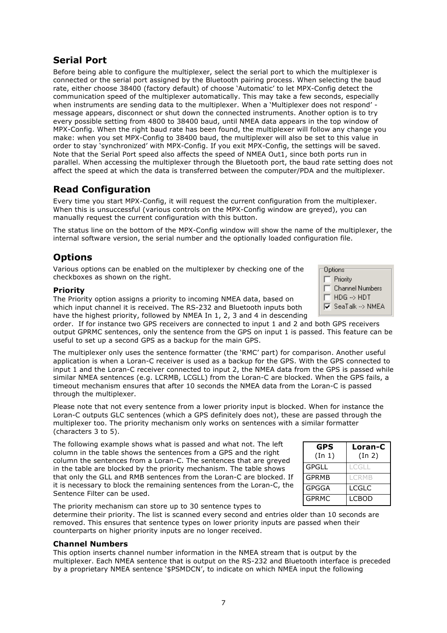## **Serial Port**

Before being able to configure the multiplexer, select the serial port to which the multiplexer is connected or the serial port assigned by the Bluetooth pairing process. When selecting the baud rate, either choose 38400 (factory default) of choose 'Automatic' to let MPX-Config detect the communication speed of the multiplexer automatically. This may take a few seconds, especially when instruments are sending data to the multiplexer. When a 'Multiplexer does not respond' message appears, disconnect or shut down the connected instruments. Another option is to try every possible setting from 4800 to 38400 baud, until NMEA data appears in the top window of MPX-Config. When the right baud rate has been found, the multiplexer will follow any change you make: when you set MPX-Config to 38400 baud, the multiplexer will also be set to this value in order to stay 'synchronized' with MPX-Config. If you exit MPX-Config, the settings will be saved. Note that the Serial Port speed also affects the speed of NMEA Out1, since both ports run in parallel. When accessing the multiplexer through the Bluetooth port, the baud rate setting does not affect the speed at which the data is transferred between the computer/PDA and the multiplexer.

## **Read Configuration**

Every time you start MPX-Config, it will request the current configuration from the multiplexer. When this is unsuccessful (various controls on the MPX-Config window are greyed), you can manually request the current configuration with this button.

The status line on the bottom of the MPX-Config window will show the name of the multiplexer, the internal software version, the serial number and the optionally loaded configuration file.

## **Options**

Various options can be enabled on the multiplexer by checking one of the checkboxes as shown on the right.

#### **Priority**

The Priority option assigns a priority to incoming NMEA data, based on which input channel it is received. The RS-232 and Bluetooth inputs both have the highest priority, followed by NMEA In 1, 2, 3 and 4 in descending

order. If for instance two GPS receivers are connected to input 1 and 2 and both GPS receivers output GPRMC sentences, only the sentence from the GPS on input 1 is passed. This feature can be useful to set up a second GPS as a backup for the main GPS.

The multiplexer only uses the sentence formatter (the 'RMC' part) for comparison. Another useful application is when a Loran-C receiver is used as a backup for the GPS. With the GPS connected to input 1 and the Loran-C receiver connected to input 2, the NMEA data from the GPS is passed while similar NMEA sentences (e.g. LCRMB, LCGLL) from the Loran-C are blocked. When the GPS fails, a timeout mechanism ensures that after 10 seconds the NMEA data from the Loran-C is passed through the multiplexer.

Please note that not every sentence from a lower priority input is blocked. When for instance the Loran-C outputs GLC sentences (which a GPS definitely does not), these are passed through the multiplexer too. The priority mechanism only works on sentences with a similar formatter (characters 3 to 5).

The following example shows what is passed and what not. The left column in the table shows the sentences from a GPS and the right column the sentences from a Loran-C. The sentences that are greyed in the table are blocked by the priority mechanism. The table shows that only the GLL and RMB sentences from the Loran-C are blocked. If it is necessary to block the remaining sentences from the Loran-C, the Sentence Filter can be used.

| <b>GPS</b><br>(In 1) | Loran-C<br>(In 2) |
|----------------------|-------------------|
| <b>GPGLL</b>         | LCGLL             |
| <b>GPRMB</b>         | <b>I CRMB</b>     |
| <b>GPGGA</b>         | LCGLC             |
| <b>GPRMC</b>         | LCBOD             |

The priority mechanism can store up to 30 sentence types to

determine their priority. The list is scanned every second and entries older than 10 seconds are removed. This ensures that sentence types on lower priority inputs are passed when their counterparts on higher priority inputs are no longer received.

#### **Channel Numbers**

This option inserts channel number information in the NMEA stream that is output by the multiplexer. Each NMEA sentence that is output on the RS-232 and Bluetooth interface is preceded by a proprietary NMEA sentence '\$PSMDCN', to indicate on which NMEA input the following

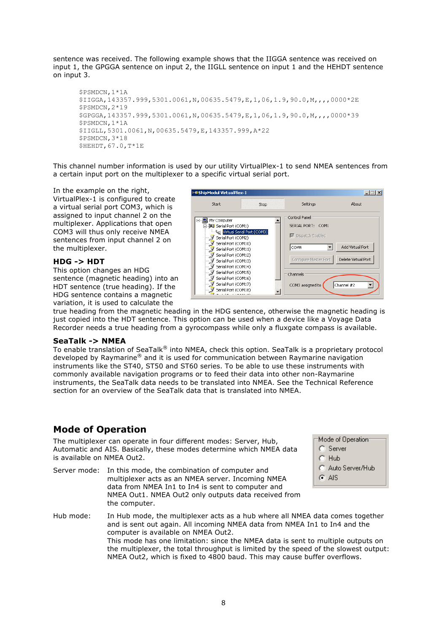sentence was received. The following example shows that the IIGGA sentence was received on input 1, the GPGGA sentence on input 2, the IIGLL sentence on input 1 and the HEHDT sentence on input 3.

```
$PSMDCN,1*1A
$IIGGA,143357.999,5301.0061,N,00635.5479,E,1,06,1.9,90.0,M,,,,0000*2E
$PSMDCN,2*19
$GPGGA,143357.999,5301.0061,N,00635.5479,E,1,06,1.9,90.0,M,,,,0000*39
$PSMDCN,1*1A
$IIGLL,5301.0061,N,00635.5479,E,143357.999,A*22
$PSMDCN,3*18
$HEHDT,67.0,T*1E
```
This channel number information is used by our utility VirtualPlex-1 to send NMEA sentences from a certain input port on the multiplexer to a specific virtual serial port.

In the example on the right, VirtualPlex-1 is configured to create a virtual serial port COM3, which is assigned to input channel 2 on the multiplexer. Applications that open COM3 will thus only receive NMEA sentences from input channel 2 on the multiplexer.

#### **HDG -> HDT**

This option changes an HDG sentence (magnetic heading) into an HDT sentence (true heading). If the HDG sentence contains a magnetic variation, it is used to calculate the



true heading from the magnetic heading in the HDG sentence, otherwise the magnetic heading is just copied into the HDT sentence. This option can be used when a device like a Voyage Data Recorder needs a true heading from a gyrocompass while only a fluxgate compass is available.

#### **SeaTalk -> NMEA**

To enable translation of SeaTalk® into NMEA, check this option. SeaTalk is a proprietary protocol developed by Raymarine® and it is used for communication between Raymarine navigation instruments like the ST40, ST50 and ST60 series. To be able to use these instruments with commonly available navigation programs or to feed their data into other non-Raymarine instruments, the SeaTalk data needs to be translated into NMEA. See the Technical Reference section for an overview of the SeaTalk data that is translated into NMEA.

### **Mode of Operation**

The multiplexer can operate in four different modes: Server, Hub, Automatic and AIS. Basically, these modes determine which NMEA data is available on NMEA Out2.

Server mode: In this mode, the combination of computer and multiplexer acts as an NMEA server. Incoming NMEA data from NMEA In1 to In4 is sent to computer and NMEA Out1. NMEA Out2 only outputs data received from the computer.

| Mode of Operation  |
|--------------------|
| $\bigcap$ Server   |
| $C$ Hub            |
| C. Auto Server/Hub |
| G AIS              |

Hub mode: In Hub mode, the multiplexer acts as a hub where all NMEA data comes together and is sent out again. All incoming NMEA data from NMEA In1 to In4 and the computer is available on NMEA Out2. This mode has one limitation: since the NMEA data is sent to multiple outputs on the multiplexer, the total throughput is limited by the speed of the slowest output: NMEA Out2, which is fixed to 4800 baud. This may cause buffer overflows.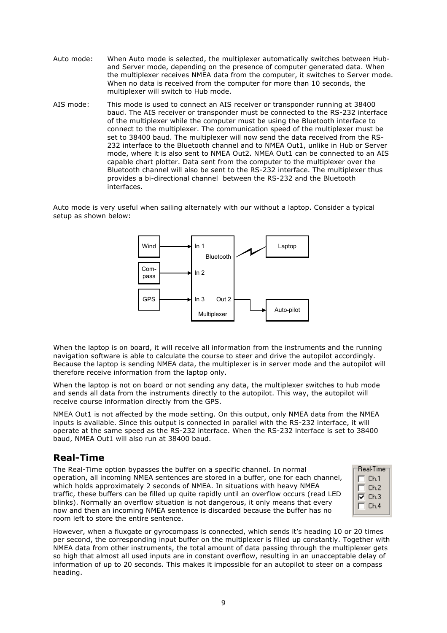- Auto mode: When Auto mode is selected, the multiplexer automatically switches between Huband Server mode, depending on the presence of computer generated data. When the multiplexer receives NMEA data from the computer, it switches to Server mode. When no data is received from the computer for more than 10 seconds, the multiplexer will switch to Hub mode.
- AIS mode: This mode is used to connect an AIS receiver or transponder running at 38400 baud. The AIS receiver or transponder must be connected to the RS-232 interface of the multiplexer while the computer must be using the Bluetooth interface to connect to the multiplexer. The communication speed of the multiplexer must be set to 38400 baud. The multiplexer will now send the data received from the RS-232 interface to the Bluetooth channel and to NMEA Out1, unlike in Hub or Server mode, where it is also sent to NMEA Out2. NMEA Out1 can be connected to an AIS capable chart plotter. Data sent from the computer to the multiplexer over the Bluetooth channel will also be sent to the RS-232 interface. The multiplexer thus provides a bi-directional channel between the RS-232 and the Bluetooth interfaces.

Auto mode is very useful when sailing alternately with our without a laptop. Consider a typical setup as shown below:



When the laptop is on board, it will receive all information from the instruments and the running navigation software is able to calculate the course to steer and drive the autopilot accordingly. Because the laptop is sending NMEA data, the multiplexer is in server mode and the autopilot will therefore receive information from the laptop only.

When the laptop is not on board or not sending any data, the multiplexer switches to hub mode and sends all data from the instruments directly to the autopilot. This way, the autopilot will receive course information directly from the GPS.

NMEA Out1 is not affected by the mode setting. On this output, only NMEA data from the NMEA inputs is available. Since this output is connected in parallel with the RS-232 interface, it will operate at the same speed as the RS-232 interface. When the RS-232 interface is set to 38400 baud, NMEA Out1 will also run at 38400 baud.

## **Real-Time**

The Real-Time option bypasses the buffer on a specific channel. In normal operation, all incoming NMEA sentences are stored in a buffer, one for each channel, which holds approximately 2 seconds of NMEA. In situations with heavy NMEA traffic, these buffers can be filled up quite rapidly until an overflow occurs (read LED blinks). Normally an overflow situation is not dangerous, it only means that every now and then an incoming NMEA sentence is discarded because the buffer has no room left to store the entire sentence.



However, when a fluxgate or gyrocompass is connected, which sends it's heading 10 or 20 times per second, the corresponding input buffer on the multiplexer is filled up constantly. Together with NMEA data from other instruments, the total amount of data passing through the multiplexer gets so high that almost all used inputs are in constant overflow, resulting in an unacceptable delay of information of up to 20 seconds. This makes it impossible for an autopilot to steer on a compass heading.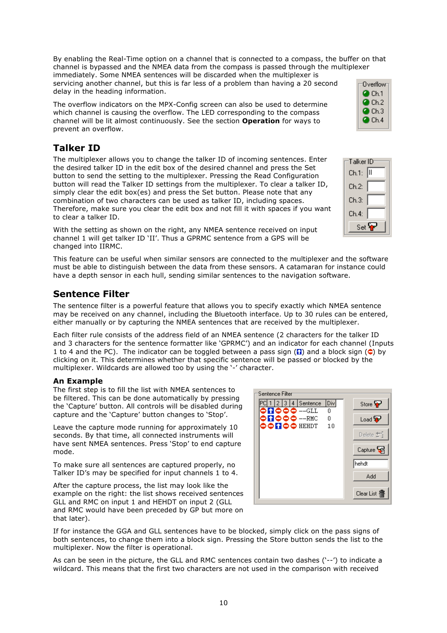By enabling the Real-Time option on a channel that is connected to a compass, the buffer on that channel is bypassed and the NMEA data from the compass is passed through the multiplexer immediately. Some NMEA sentences will be discarded when the multiplexer is servicing another channel, but this is far less of a problem than having a 20 second delay in the heading information.

The overflow indicators on the MPX-Config screen can also be used to determine which channel is causing the overflow. The LED corresponding to the compass channel will be lit almost continuously. See the section **Operation** for ways to prevent an overflow.

## **Talker ID**

The multiplexer allows you to change the talker ID of incoming sentences. Enter the desired talker ID in the edit box of the desired channel and press the Set button to send the setting to the multiplexer. Pressing the Read Configuration button will read the Talker ID settings from the multiplexer. To clear a talker ID, simply clear the edit box(es) and press the Set button. Please note that any combination of two characters can be used as talker ID, including spaces. Therefore, make sure you clear the edit box and not fill it with spaces if you want to clear a talker ID.

With the setting as shown on the right, any NMEA sentence received on input channel 1 will get talker ID 'II'. Thus a GPRMC sentence from a GPS will be changed into IIRMC.

This feature can be useful when similar sensors are connected to the multiplexer and the software must be able to distinguish between the data from these sensors. A catamaran for instance could have a depth sensor in each hull, sending similar sentences to the navigation software.

## **Sentence Filter**

The sentence filter is a powerful feature that allows you to specify exactly which NMEA sentence may be received on any channel, including the Bluetooth interface. Up to 30 rules can be entered, either manually or by capturing the NMEA sentences that are received by the multiplexer.

Each filter rule consists of the address field of an NMEA sentence (2 characters for the talker ID and 3 characters for the sentence formatter like 'GPRMC') and an indicator for each channel (Inputs 1 to 4 and the PC). The indicator can be toggled between a pass sign ( $\Box$ ) and a block sign ( $\Diamond$ ) by clicking on it. This determines whether that specific sentence will be passed or blocked by the multiplexer. Wildcards are allowed too by using the '-' character.

#### **An Example**

The first step is to fill the list with NMEA sentences to be filtered. This can be done automatically by pressing the 'Capture' button. All controls will be disabled during capture and the 'Capture' button changes to 'Stop'.

Leave the capture mode running for approximately 10 seconds. By that time, all connected instruments will have sent NMEA sentences. Press 'Stop' to end capture mode.

To make sure all sentences are captured properly, no Talker ID's may be specified for input channels 1 to 4.

After the capture process, the list may look like the example on the right: the list shows received sentences GLL and RMC on input 1 and HEHDT on input 2 (GLL and RMC would have been preceded by GP but more on that later).

If for instance the GGA and GLL sentences have to be blocked, simply click on the pass signs of both sentences, to change them into a block sign. Pressing the Store button sends the list to the multiplexer. Now the filter is operational.

As can be seen in the picture, the GLL and RMC sentences contain two dashes ('--') to indicate a wildcard. This means that the first two characters are not used in the comparison with received





| Overflow            |  |
|---------------------|--|
| $\bullet$ Ch.1      |  |
| Ch.2                |  |
| Ch.3<br>У.          |  |
| $\blacksquare$ Ch.4 |  |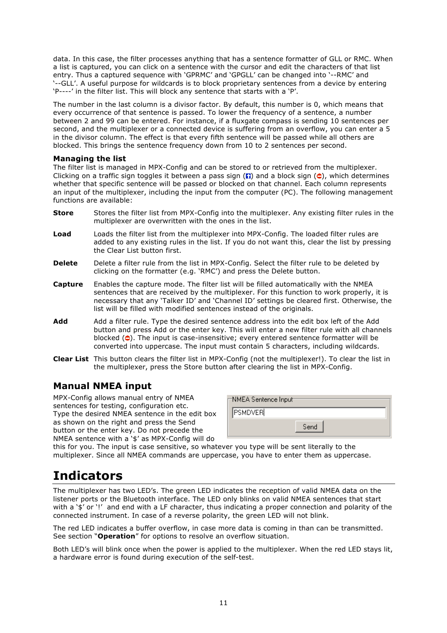data. In this case, the filter processes anything that has a sentence formatter of GLL or RMC. When a list is captured, you can click on a sentence with the cursor and edit the characters of that list entry. Thus a captured sequence with 'GPRMC' and 'GPGLL' can be changed into '--RMC' and '--GLL'. A useful purpose for wildcards is to block proprietary sentences from a device by entering 'P----' in the filter list. This will block any sentence that starts with a 'P'.

The number in the last column is a divisor factor. By default, this number is 0, which means that every occurrence of that sentence is passed. To lower the frequency of a sentence, a number between 2 and 99 can be entered. For instance, if a fluxgate compass is sending 10 sentences per second, and the multiplexer or a connected device is suffering from an overflow, you can enter a 5 in the divisor column. The effect is that every fifth sentence will be passed while all others are blocked. This brings the sentence frequency down from 10 to 2 sentences per second.

#### **Managing the list**

The filter list is managed in MPX-Config and can be stored to or retrieved from the multiplexer. Clicking on a traffic sign toggles it between a pass sign ( $\Box$ ) and a block sign ( $\Diamond$ ), which determines whether that specific sentence will be passed or blocked on that channel. Each column represents an input of the multiplexer, including the input from the computer (PC). The following management functions are available:

- **Store** Stores the filter list from MPX-Config into the multiplexer. Any existing filter rules in the multiplexer are overwritten with the ones in the list.
- **Load** Loads the filter list from the multiplexer into MPX-Config. The loaded filter rules are added to any existing rules in the list. If you do not want this, clear the list by pressing the Clear List button first.
- **Delete** Delete a filter rule from the list in MPX-Config. Select the filter rule to be deleted by clicking on the formatter (e.g. 'RMC') and press the Delete button.
- **Capture** Enables the capture mode. The filter list will be filled automatically with the NMEA sentences that are received by the multiplexer. For this function to work properly, it is necessary that any 'Talker ID' and 'Channel ID' settings be cleared first. Otherwise, the list will be filled with modified sentences instead of the originals.
- **Add** Add a filter rule. Type the desired sentence address into the edit box left of the Add button and press Add or the enter key. This will enter a new filter rule with all channels blocked  $\left( \circ \right)$ . The input is case-insensitive; every entered sentence formatter will be converted into uppercase. The input must contain 5 characters, including wildcards.
- **Clear List** This button clears the filter list in MPX-Config (not the multiplexer!). To clear the list in the multiplexer, press the Store button after clearing the list in MPX-Config.

## **Manual NMEA input**

MPX-Config allows manual entry of NMEA sentences for testing, configuration etc. Type the desired NMEA sentence in the edit box as shown on the right and press the Send button or the enter key. Do not precede the NMEA sentence with a '\$' as MPX-Config will do

| NMEA Sentence Input: |      |
|----------------------|------|
| <b>PSMDVER</b>       |      |
|                      | Send |

this for you. The input is case sensitive, so whatever you type will be sent literally to the multiplexer. Since all NMEA commands are uppercase, you have to enter them as uppercase.

## **Indicators**

The multiplexer has two LED's. The green LED indicates the reception of valid NMEA data on the listener ports or the Bluetooth interface. The LED only blinks on valid NMEA sentences that start with a '\$' or '!' and end with a LF character, thus indicating a proper connection and polarity of the connected instrument. In case of a reverse polarity, the green LED will not blink.

The red LED indicates a buffer overflow, in case more data is coming in than can be transmitted. See section "**Operation**" for options to resolve an overflow situation.

Both LED's will blink once when the power is applied to the multiplexer. When the red LED stays lit, a hardware error is found during execution of the self-test.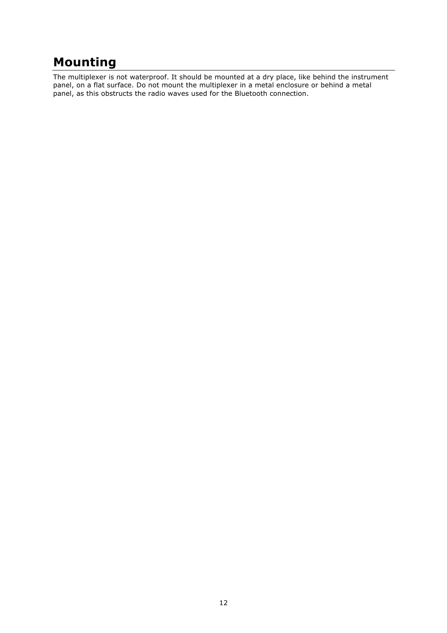## **Mounting**

The multiplexer is not waterproof. It should be mounted at a dry place, like behind the instrument panel, on a flat surface. Do not mount the multiplexer in a metal enclosure or behind a metal panel, as this obstructs the radio waves used for the Bluetooth connection.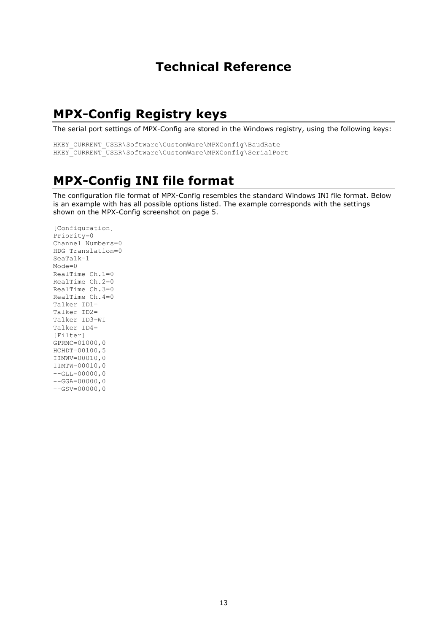## **Technical Reference**

## **MPX-Config Registry keys**

The serial port settings of MPX-Config are stored in the Windows registry, using the following keys:

```
HKEY_CURRENT_USER\Software\CustomWare\MPXConfig\BaudRate
HKEY_CURRENT_USER\Software\CustomWare\MPXConfig\SerialPort
```
## **MPX-Config INI file format**

The configuration file format of MPX-Config resembles the standard Windows INI file format. Below is an example with has all possible options listed. The example corresponds with the settings shown on the MPX-Config screenshot on page 5.

```
[Configuration]
Priority=0
Channel Numbers=0
HDG Translation=0
SeaTalk=1
Mode=0
RealTime Ch.1=0
RealTime Ch 2=0RealTime Ch.3=0
RealTime Ch.4=0
Talker ID1=
Talker ID2=
Talker ID3=WI
Talker ID4=
[Filter]
GPRMC=01000,0
HCHDT=00100,5
IIMWV=00010,0
IIMTW=00010,0
--GLL=00000,0-GGA=00000,0-GSV=00000,0
```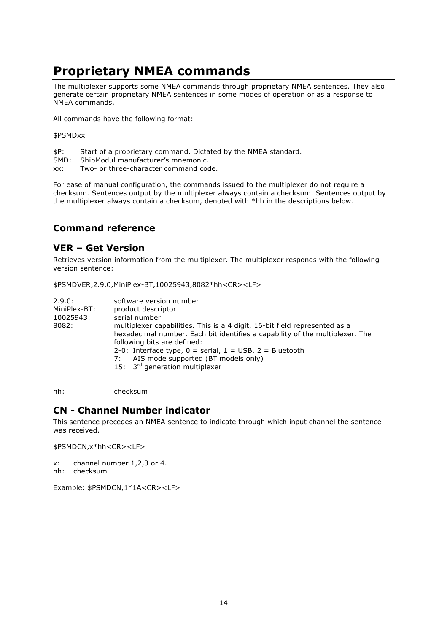## **Proprietary NMEA commands**

The multiplexer supports some NMEA commands through proprietary NMEA sentences. They also generate certain proprietary NMEA sentences in some modes of operation or as a response to NMEA commands.

All commands have the following format:

#### \$PSMDxx

- \$P: Start of a proprietary command. Dictated by the NMEA standard.
- SMD: ShipModul manufacturer's mnemonic.
- xx: Two- or three-character command code.

For ease of manual configuration, the commands issued to the multiplexer do not require a checksum. Sentences output by the multiplexer always contain a checksum. Sentences output by the multiplexer always contain a checksum, denoted with \*hh in the descriptions below.

### **Command reference**

#### **VER – Get Version**

Retrieves version information from the multiplexer. The multiplexer responds with the following version sentence:

\$PSMDVER,2.9.0,MiniPlex-BT,10025943,8082\*hh<CR><LF>

| 2.9.0:<br>MiniPlex-BT:<br>10025943:<br>8082: | software version number<br>product descriptor<br>serial number<br>multiplexer capabilities. This is a 4 digit, 16-bit field represented as a<br>hexadecimal number. Each bit identifies a capability of the multiplexer. The<br>following bits are defined:<br>2-0: Interface type, $0 =$ serial, $1 =$ USB, $2 =$ Bluetooth |
|----------------------------------------------|------------------------------------------------------------------------------------------------------------------------------------------------------------------------------------------------------------------------------------------------------------------------------------------------------------------------------|
|                                              | AIS mode supported (BT models only)<br>7:<br>15: $3rd$ generation multiplexer                                                                                                                                                                                                                                                |

hh: checksum

#### **CN - Channel Number indicator**

This sentence precedes an NMEA sentence to indicate through which input channel the sentence was received.

\$PSMDCN,x\*hh<CR><LF>

x: channel number 1,2,3 or 4.

hh: checksum

Example: \$PSMDCN,1\*1A<CR><LF>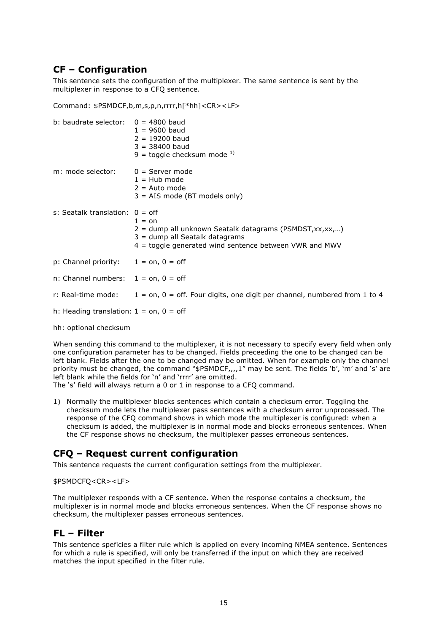## **CF – Configuration**

This sentence sets the configuration of the multiplexer. The same sentence is sent by the multiplexer in response to a CFQ sentence.

Command: \$PSMDCF,b,m,s,p,n,rrrr,h[\*hh]<CR><LF>

| b: baudrate selector: $0 = 4800$ baud       | $1 = 9600$ baud<br>$2 = 19200$ baud<br>$3 = 38400$ baud<br>9 = toggle checksum mode $^{1)}$                                                                                |
|---------------------------------------------|----------------------------------------------------------------------------------------------------------------------------------------------------------------------------|
| m: mode selector:                           | $0 =$ Server mode<br>$1 =$ Hub mode<br>$2 =$ Auto mode<br>$3 = AIS$ mode (BT models only)                                                                                  |
| s: Seatalk translation: $0 =$ off           | $1 = \Omega n$<br>2 = dump all unknown Seatalk datagrams (PSMDST, xx, xx,)<br>$3 =$ dump all Seatalk datagrams<br>$4$ = toggle generated wind sentence between VWR and MWV |
| p: Channel priority: $1 = on, 0 = off$      |                                                                                                                                                                            |
| n: Channel numbers: $1 = on, 0 = off$       |                                                                                                                                                                            |
|                                             | r: Real-time mode: $1 = on, 0 = off.$ Four digits, one digit per channel, numbered from 1 to 4                                                                             |
| h: Heading translation: $1 =$ on, $0 =$ off |                                                                                                                                                                            |
| hh: optional checksum                       |                                                                                                                                                                            |

When sending this command to the multiplexer, it is not necessary to specify every field when only one configuration parameter has to be changed. Fields preceeding the one to be changed can be left blank. Fields after the one to be changed may be omitted. When for example only the channel priority must be changed, the command "\$PSMDCF,,,,1" may be sent. The fields 'b', 'm' and 's' are left blank while the fields for 'n' and 'rrrr' are omitted.

The 's' field will always return a 0 or 1 in response to a CFQ command.

1) Normally the multiplexer blocks sentences which contain a checksum error. Toggling the checksum mode lets the multiplexer pass sentences with a checksum error unprocessed. The response of the CFQ command shows in which mode the multiplexer is configured: when a checksum is added, the multiplexer is in normal mode and blocks erroneous sentences. When the CF response shows no checksum, the multiplexer passes erroneous sentences.

## **CFQ – Request current configuration**

This sentence requests the current configuration settings from the multiplexer.

#### \$PSMDCFQ<CR><LF>

The multiplexer responds with a CF sentence. When the response contains a checksum, the multiplexer is in normal mode and blocks erroneous sentences. When the CF response shows no checksum, the multiplexer passes erroneous sentences.

#### **FL – Filter**

This sentence speficies a filter rule which is applied on every incoming NMEA sentence. Sentences for which a rule is specified, will only be transferred if the input on which they are received matches the input specified in the filter rule.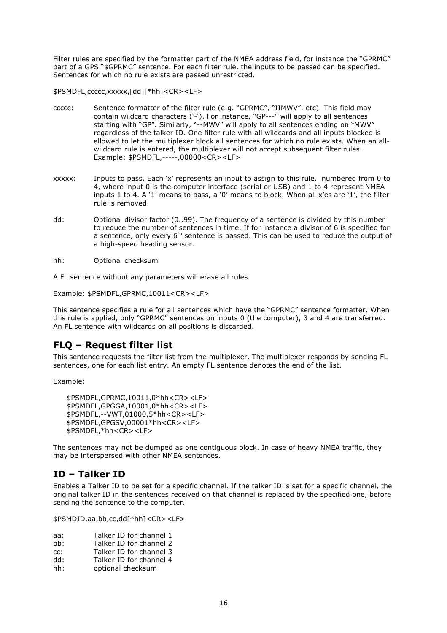Filter rules are specified by the formatter part of the NMEA address field, for instance the "GPRMC" part of a GPS "\$GPRMC" sentence. For each filter rule, the inputs to be passed can be specified. Sentences for which no rule exists are passed unrestricted.

\$PSMDFL,ccccc,xxxxx,[dd][\*hh]<CR><LF>

- ccccc: Sentence formatter of the filter rule (e.g. "GPRMC", "IIMWV", etc). This field may contain wildcard characters ('-'). For instance, "GP---" will apply to all sentences starting with "GP". Similarly, "--MWV" will apply to all sentences ending on "MWV" regardless of the talker ID. One filter rule with all wildcards and all inputs blocked is allowed to let the multiplexer block all sentences for which no rule exists. When an allwildcard rule is entered, the multiplexer will not accept subsequent filter rules. Example: \$PSMDFL,-----,00000<CR><LF>
- xxxxx: Inputs to pass. Each 'x' represents an input to assign to this rule, numbered from 0 to 4, where input 0 is the computer interface (serial or USB) and 1 to 4 represent NMEA inputs 1 to 4. A '1' means to pass, a '0' means to block. When all x'es are '1', the filter rule is removed.
- dd: Optional divisor factor (0..99). The frequency of a sentence is divided by this number to reduce the number of sentences in time. If for instance a divisor of 6 is specified for a sentence, only every  $6<sup>th</sup>$  sentence is passed. This can be used to reduce the output of a high-speed heading sensor.
- hh: Optional checksum

A FL sentence without any parameters will erase all rules.

Example: \$PSMDFL,GPRMC,10011<CR><LF>

This sentence specifies a rule for all sentences which have the "GPRMC" sentence formatter. When this rule is applied, only "GPRMC" sentences on inputs 0 (the computer), 3 and 4 are transferred. An FL sentence with wildcards on all positions is discarded.

## **FLQ – Request filter list**

This sentence requests the filter list from the multiplexer. The multiplexer responds by sending FL sentences, one for each list entry. An empty FL sentence denotes the end of the list.

Example:

```
$PSMDFL,GPRMC,10011,0*hh<CR><LF>
$PSMDFL,GPGGA,10001,0*hh<CR><LF>
$PSMDFL,--VWT,01000,5*hh<CR><LF>
$PSMDFL,GPGSV,00001*hh<CR><LF>
$PSMDFL,*hh<CR><LF>
```
The sentences may not be dumped as one contiguous block. In case of heavy NMEA traffic, they may be interspersed with other NMEA sentences.

### **ID – Talker ID**

Enables a Talker ID to be set for a specific channel. If the talker ID is set for a specific channel, the original talker ID in the sentences received on that channel is replaced by the specified one, before sending the sentence to the computer.

\$PSMDID,aa,bb,cc,dd[\*hh]<CR><LF>

- aa: Talker ID for channel 1
- bb: Talker ID for channel 2
- cc: Talker ID for channel 3
- dd: Talker ID for channel 4
- hh: optional checksum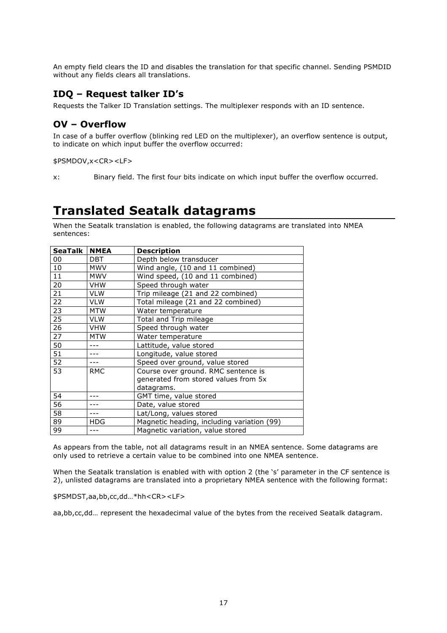An empty field clears the ID and disables the translation for that specific channel. Sending PSMDID without any fields clears all translations.

### **IDQ – Request talker ID's**

Requests the Talker ID Translation settings. The multiplexer responds with an ID sentence.

### **OV – Overflow**

In case of a buffer overflow (blinking red LED on the multiplexer), an overflow sentence is output, to indicate on which input buffer the overflow occurred:

\$PSMDOV,x<CR><LF>

x: Binary field. The first four bits indicate on which input buffer the overflow occurred.

## **Translated Seatalk datagrams**

When the Seatalk translation is enabled, the following datagrams are translated into NMEA sentences:

| <b>SeaTalk</b> | <b>NMEA</b> | <b>Description</b>                         |
|----------------|-------------|--------------------------------------------|
| 00             | <b>DBT</b>  | Depth below transducer                     |
| 10             | <b>MWV</b>  | Wind angle, (10 and 11 combined)           |
| 11             | <b>MWV</b>  | Wind speed, (10 and 11 combined)           |
| 20             | <b>VHW</b>  | Speed through water                        |
| 21             | <b>VLW</b>  | Trip mileage (21 and 22 combined)          |
| 22             | <b>VLW</b>  | Total mileage (21 and 22 combined)         |
| 23             | <b>MTW</b>  | Water temperature                          |
| 25             | <b>VLW</b>  | Total and Trip mileage                     |
| 26             | <b>VHW</b>  | Speed through water                        |
| 27             | <b>MTW</b>  | Water temperature                          |
| 50             | $- - -$     | Lattitude, value stored                    |
| 51             |             | Longitude, value stored                    |
| 52             |             | Speed over ground, value stored            |
| 53             | <b>RMC</b>  | Course over ground. RMC sentence is        |
|                |             | generated from stored values from 5x       |
|                |             | datagrams.                                 |
| 54             |             | GMT time, value stored                     |
| 56             |             | Date, value stored                         |
| 58             |             | Lat/Long, values stored                    |
| 89             | <b>HDG</b>  | Magnetic heading, including variation (99) |
| 99             |             | Magnetic variation, value stored           |

As appears from the table, not all datagrams result in an NMEA sentence. Some datagrams are only used to retrieve a certain value to be combined into one NMEA sentence.

When the Seatalk translation is enabled with with option 2 (the 's' parameter in the CF sentence is 2), unlisted datagrams are translated into a proprietary NMEA sentence with the following format:

\$PSMDST,aa,bb,cc,dd…\*hh<CR><LF>

aa,bb,cc,dd… represent the hexadecimal value of the bytes from the received Seatalk datagram.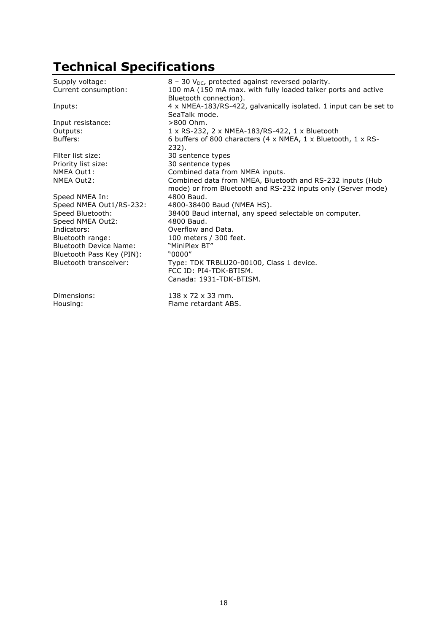# **Technical Specifications**

| Supply voltage:<br>Current consumption: | $8 - 30$ V <sub>DC</sub> , protected against reversed polarity.<br>100 mA (150 mA max. with fully loaded talker ports and active<br>Bluetooth connection). |
|-----------------------------------------|------------------------------------------------------------------------------------------------------------------------------------------------------------|
| Inputs:                                 | 4 x NMEA-183/RS-422, galvanically isolated. 1 input can be set to<br>SeaTalk mode.                                                                         |
| Input resistance:                       | $>800$ Ohm.                                                                                                                                                |
| Outputs:                                | 1 x RS-232, 2 x NMEA-183/RS-422, 1 x Bluetooth                                                                                                             |
| Buffers:                                | 6 buffers of 800 characters (4 x NMEA, 1 x Bluetooth, 1 x RS-<br>232).                                                                                     |
| Filter list size:                       | 30 sentence types                                                                                                                                          |
| Priority list size:                     | 30 sentence types                                                                                                                                          |
| NMEA Out1:                              | Combined data from NMEA inputs.                                                                                                                            |
| NMEA Out2:                              | Combined data from NMEA, Bluetooth and RS-232 inputs (Hub<br>mode) or from Bluetooth and RS-232 inputs only (Server mode)                                  |
| Speed NMEA In:                          | 4800 Baud.                                                                                                                                                 |
| Speed NMEA Out1/RS-232:                 | 4800-38400 Baud (NMEA HS).                                                                                                                                 |
| Speed Bluetooth:                        | 38400 Baud internal, any speed selectable on computer.                                                                                                     |
| Speed NMEA Out2:                        | 4800 Baud.                                                                                                                                                 |
| Indicators:                             | Overflow and Data.                                                                                                                                         |
| Bluetooth range:                        | 100 meters / 300 feet.                                                                                                                                     |
| <b>Bluetooth Device Name:</b>           | "MiniPlex BT"                                                                                                                                              |
| Bluetooth Pass Key (PIN):               | "0000"                                                                                                                                                     |
| Bluetooth transceiver:                  | Type: TDK TRBLU20-00100, Class 1 device.                                                                                                                   |
|                                         | FCC ID: PI4-TDK-BTISM.                                                                                                                                     |
|                                         | Canada: 1931-TDK-BTISM.                                                                                                                                    |
| Dimensions:                             | $138 \times 72 \times 33$ mm.                                                                                                                              |
| Housing:                                | Flame retardant ABS.                                                                                                                                       |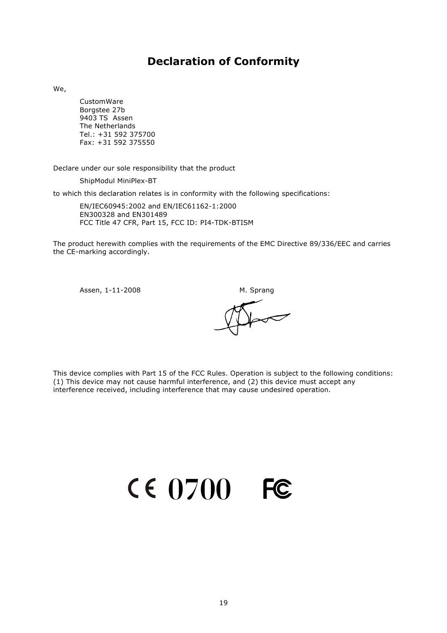## **Declaration of Conformity**

We,

CustomWare Borgstee 27b 9403 TS Assen The Netherlands Tel.: +31 592 375700 Fax: +31 592 375550

Declare under our sole responsibility that the product

ShipModul MiniPlex-BT

to which this declaration relates is in conformity with the following specifications:

EN/IEC60945:2002 and EN/IEC61162-1:2000 EN300328 and EN301489 FCC Title 47 CFR, Part 15, FCC ID: PI4-TDK-BTISM

The product herewith complies with the requirements of the EMC Directive 89/336/EEC and carries the CE-marking accordingly.

Assen, 1-11-2008 M. Sprang

This device complies with Part 15 of the FCC Rules. Operation is subject to the following conditions: (1) This device may not cause harmful interference, and (2) this device must accept any interference received, including interference that may cause undesired operation.

**0700**